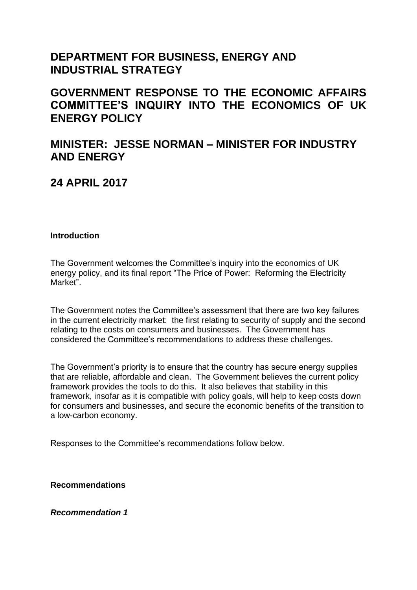# **DEPARTMENT FOR BUSINESS, ENERGY AND INDUSTRIAL STRATEGY**

**GOVERNMENT RESPONSE TO THE ECONOMIC AFFAIRS COMMITTEE'S INQUIRY INTO THE ECONOMICS OF UK ENERGY POLICY**

# **MINISTER: JESSE NORMAN – MINISTER FOR INDUSTRY AND ENERGY**

# **24 APRIL 2017**

# **Introduction**

The Government welcomes the Committee's inquiry into the economics of UK energy policy, and its final report "The Price of Power: Reforming the Electricity Market".

The Government notes the Committee's assessment that there are two key failures in the current electricity market: the first relating to security of supply and the second relating to the costs on consumers and businesses. The Government has considered the Committee's recommendations to address these challenges.

The Government's priority is to ensure that the country has secure energy supplies that are reliable, affordable and clean. The Government believes the current policy framework provides the tools to do this. It also believes that stability in this framework, insofar as it is compatible with policy goals, will help to keep costs down for consumers and businesses, and secure the economic benefits of the transition to a low-carbon economy.

Responses to the Committee's recommendations follow below.

**Recommendations**

*Recommendation 1*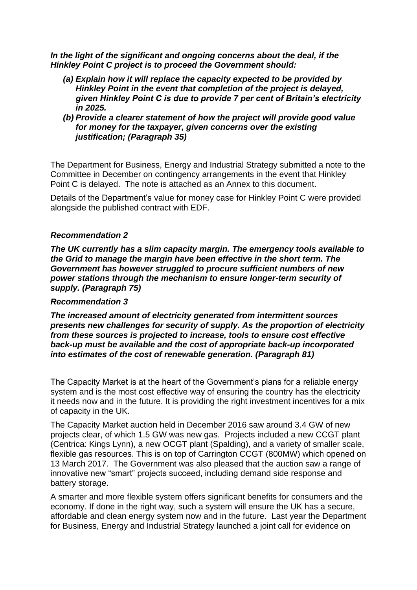*In the light of the significant and ongoing concerns about the deal, if the Hinkley Point C project is to proceed the Government should:*

- *(a) Explain how it will replace the capacity expected to be provided by Hinkley Point in the event that completion of the project is delayed, given Hinkley Point C is due to provide 7 per cent of Britain's electricity in 2025.*
- *(b) Provide a clearer statement of how the project will provide good value for money for the taxpayer, given concerns over the existing justification; (Paragraph 35)*

The Department for Business, Energy and Industrial Strategy submitted a note to the Committee in December on contingency arrangements in the event that Hinkley Point C is delayed. The note is attached as an Annex to this document.

Details of the Department's value for money case for Hinkley Point C were provided alongside the published contract with EDF.

# *Recommendation 2*

*The UK currently has a slim capacity margin. The emergency tools available to the Grid to manage the margin have been effective in the short term. The Government has however struggled to procure sufficient numbers of new power stations through the mechanism to ensure longer-term security of supply. (Paragraph 75)*

# *Recommendation 3*

*The increased amount of electricity generated from intermittent sources presents new challenges for security of supply. As the proportion of electricity from these sources is projected to increase, tools to ensure cost effective back-up must be available and the cost of appropriate back-up incorporated into estimates of the cost of renewable generation. (Paragraph 81)*

The Capacity Market is at the heart of the Government's plans for a reliable energy system and is the most cost effective way of ensuring the country has the electricity it needs now and in the future. It is providing the right investment incentives for a mix of capacity in the UK.

The Capacity Market auction held in December 2016 saw around 3.4 GW of new projects clear, of which 1.5 GW was new gas. Projects included a new CCGT plant (Centrica: Kings Lynn), a new OCGT plant (Spalding), and a variety of smaller scale, flexible gas resources. This is on top of Carrington CCGT (800MW) which opened on 13 March 2017. The Government was also pleased that the auction saw a range of innovative new "smart" projects succeed, including demand side response and battery storage.

A smarter and more flexible system offers significant benefits for consumers and the economy. If done in the right way, such a system will ensure the UK has a secure, affordable and clean energy system now and in the future. Last year the Department for Business, Energy and Industrial Strategy launched a joint call for evidence on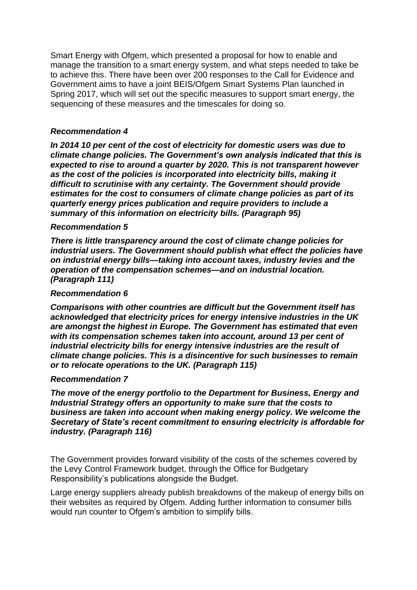Smart Energy with Ofgem, which presented a proposal for how to enable and manage the transition to a smart energy system, and what steps needed to take be to achieve this. There have been over 200 responses to the Call for Evidence and Government aims to have a joint BEIS/Ofgem Smart Systems Plan launched in Spring 2017, which will set out the specific measures to support smart energy, the sequencing of these measures and the timescales for doing so.

# *Recommendation 4*

*In 2014 10 per cent of the cost of electricity for domestic users was due to climate change policies. The Government's own analysis indicated that this is expected to rise to around a quarter by 2020. This is not transparent however as the cost of the policies is incorporated into electricity bills, making it difficult to scrutinise with any certainty. The Government should provide estimates for the cost to consumers of climate change policies as part of its quarterly energy prices publication and require providers to include a summary of this information on electricity bills. (Paragraph 95)*

# *Recommendation 5*

*There is little transparency around the cost of climate change policies for industrial users. The Government should publish what effect the policies have on industrial energy bills—taking into account taxes, industry levies and the operation of the compensation schemes—and on industrial location. (Paragraph 111)*

#### *Recommendation 6*

*Comparisons with other countries are difficult but the Government itself has acknowledged that electricity prices for energy intensive industries in the UK are amongst the highest in Europe. The Government has estimated that even with its compensation schemes taken into account, around 13 per cent of industrial electricity bills for energy intensive industries are the result of climate change policies. This is a disincentive for such businesses to remain or to relocate operations to the UK. (Paragraph 115)*

#### *Recommendation 7*

*The move of the energy portfolio to the Department for Business, Energy and Industrial Strategy offers an opportunity to make sure that the costs to business are taken into account when making energy policy. We welcome the Secretary of State's recent commitment to ensuring electricity is affordable for industry. (Paragraph 116)*

The Government provides forward visibility of the costs of the schemes covered by the Levy Control Framework budget, through the Office for Budgetary Responsibility's publications alongside the Budget.

Large energy suppliers already publish breakdowns of the makeup of energy bills on their websites as required by Ofgem. Adding further information to consumer bills would run counter to Ofgem's ambition to simplify bills.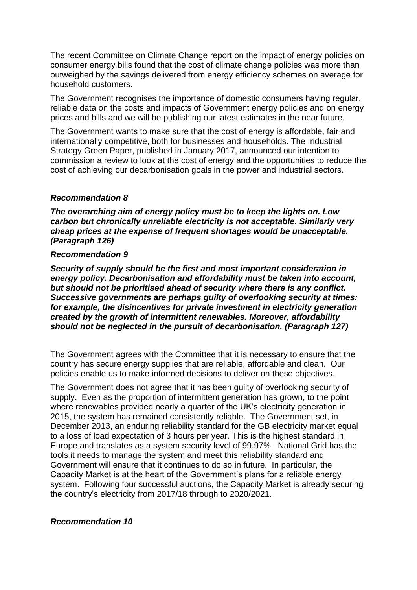The recent Committee on Climate Change report on the impact of energy policies on consumer energy bills found that the cost of climate change policies was more than outweighed by the savings delivered from energy efficiency schemes on average for household customers.

The Government recognises the importance of domestic consumers having regular, reliable data on the costs and impacts of Government energy policies and on energy prices and bills and we will be publishing our latest estimates in the near future.

The Government wants to make sure that the cost of energy is affordable, fair and internationally competitive, both for businesses and households. The Industrial Strategy Green Paper, published in January 2017, announced our intention to commission a review to look at the cost of energy and the opportunities to reduce the cost of achieving our decarbonisation goals in the power and industrial sectors.

#### *Recommendation 8*

*The overarching aim of energy policy must be to keep the lights on. Low carbon but chronically unreliable electricity is not acceptable. Similarly very cheap prices at the expense of frequent shortages would be unacceptable. (Paragraph 126)*

#### *Recommendation 9*

*Security of supply should be the first and most important consideration in energy policy. Decarbonisation and affordability must be taken into account, but should not be prioritised ahead of security where there is any conflict. Successive governments are perhaps guilty of overlooking security at times: for example, the disincentives for private investment in electricity generation created by the growth of intermittent renewables. Moreover, affordability should not be neglected in the pursuit of decarbonisation. (Paragraph 127)*

The Government agrees with the Committee that it is necessary to ensure that the country has secure energy supplies that are reliable, affordable and clean. Our policies enable us to make informed decisions to deliver on these objectives.

The Government does not agree that it has been guilty of overlooking security of supply. Even as the proportion of intermittent generation has grown, to the point where renewables provided nearly a quarter of the UK's electricity generation in 2015, the system has remained consistently reliable. The Government set, in December 2013, an enduring reliability standard for the GB electricity market equal to a loss of load expectation of 3 hours per year. This is the highest standard in Europe and translates as a system security level of 99.97%. National Grid has the tools it needs to manage the system and meet this reliability standard and Government will ensure that it continues to do so in future. In particular, the Capacity Market is at the heart of the Government's plans for a reliable energy system. Following four successful auctions, the Capacity Market is already securing the country's electricity from 2017/18 through to 2020/2021.

#### *Recommendation 10*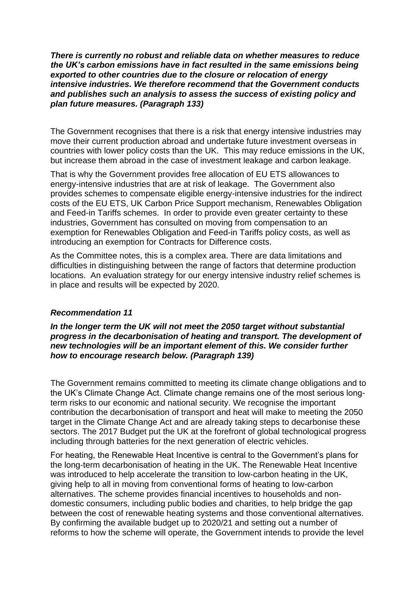*There is currently no robust and reliable data on whether measures to reduce the UK's carbon emissions have in fact resulted in the same emissions being exported to other countries due to the closure or relocation of energy intensive industries. We therefore recommend that the Government conducts and publishes such an analysis to assess the success of existing policy and plan future measures. (Paragraph 133)*

The Government recognises that there is a risk that energy intensive industries may move their current production abroad and undertake future investment overseas in countries with lower policy costs than the UK. This may reduce emissions in the UK, but increase them abroad in the case of investment leakage and carbon leakage.

That is why the Government provides free allocation of EU ETS allowances to energy-intensive industries that are at risk of leakage. The Government also provides schemes to compensate eligible energy-intensive industries for the indirect costs of the EU ETS, UK Carbon Price Support mechanism, Renewables Obligation and Feed-in Tariffs schemes. In order to provide even greater certainty to these industries, Government has consulted on moving from compensation to an exemption for Renewables Obligation and Feed-in Tariffs policy costs, as well as introducing an exemption for Contracts for Difference costs.

As the Committee notes, this is a complex area. There are data limitations and difficulties in distinguishing between the range of factors that determine production locations. An evaluation strategy for our energy intensive industry relief schemes is in place and results will be expected by 2020.

# *Recommendation 11*

*In the longer term the UK will not meet the 2050 target without substantial progress in the decarbonisation of heating and transport. The development of new technologies will be an important element of this. We consider further how to encourage research below. (Paragraph 139)*

The Government remains committed to meeting its climate change obligations and to the UK's Climate Change Act. Climate change remains one of the most serious longterm risks to our economic and national security. We recognise the important contribution the decarbonisation of transport and heat will make to meeting the 2050 target in the Climate Change Act and are already taking steps to decarbonise these sectors. The 2017 Budget put the UK at the forefront of global technological progress including through batteries for the next generation of electric vehicles.

For heating, the Renewable Heat Incentive is central to the Government's plans for the long-term decarbonisation of heating in the UK. The Renewable Heat Incentive was introduced to help accelerate the transition to low-carbon heating in the UK, giving help to all in moving from conventional forms of heating to low-carbon alternatives. The scheme provides financial incentives to households and nondomestic consumers, including public bodies and charities, to help bridge the gap between the cost of renewable heating systems and those conventional alternatives. By confirming the available budget up to 2020/21 and setting out a number of reforms to how the scheme will operate, the Government intends to provide the level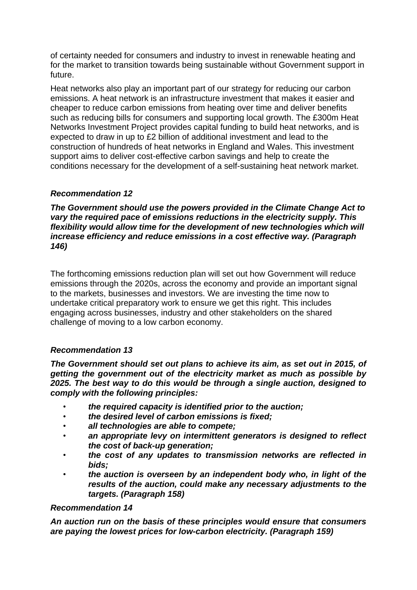of certainty needed for consumers and industry to invest in renewable heating and for the market to transition towards being sustainable without Government support in future.

Heat networks also play an important part of our strategy for reducing our carbon emissions. A heat network is an infrastructure investment that makes it easier and cheaper to reduce carbon emissions from heating over time and deliver benefits such as reducing bills for consumers and supporting local growth. The £300m Heat Networks Investment Project provides capital funding to build heat networks, and is expected to draw in up to £2 billion of additional investment and lead to the construction of hundreds of heat networks in England and Wales. This investment support aims to deliver cost-effective carbon savings and help to create the conditions necessary for the development of a self-sustaining heat network market.

# *Recommendation 12*

*The Government should use the powers provided in the Climate Change Act to vary the required pace of emissions reductions in the electricity supply. This flexibility would allow time for the development of new technologies which will increase efficiency and reduce emissions in a cost effective way. (Paragraph 146)*

The forthcoming emissions reduction plan will set out how Government will reduce emissions through the 2020s, across the economy and provide an important signal to the markets, businesses and investors. We are investing the time now to undertake critical preparatory work to ensure we get this right. This includes engaging across businesses, industry and other stakeholders on the shared challenge of moving to a low carbon economy.

# *Recommendation 13*

*The Government should set out plans to achieve its aim, as set out in 2015, of getting the government out of the electricity market as much as possible by 2025. The best way to do this would be through a single auction, designed to comply with the following principles:*

- *the required capacity is identified prior to the auction;*
- *the desired level of carbon emissions is fixed;*
- *all technologies are able to compete;*
- *an appropriate levy on intermittent generators is designed to reflect the cost of back-up generation;*
- *the cost of any updates to transmission networks are reflected in bids;*
- *the auction is overseen by an independent body who, in light of the results of the auction, could make any necessary adjustments to the targets. (Paragraph 158)*

# *Recommendation 14*

*An auction run on the basis of these principles would ensure that consumers are paying the lowest prices for low-carbon electricity. (Paragraph 159)*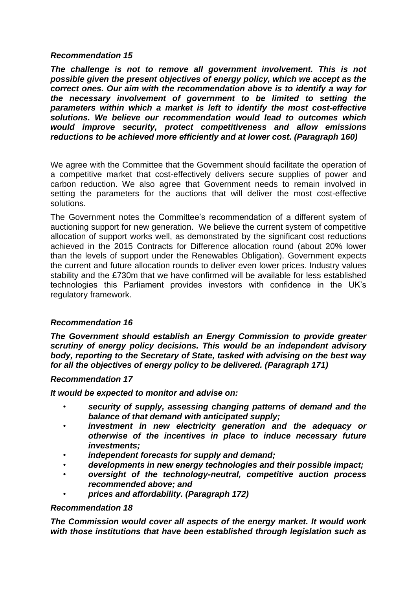#### *Recommendation 15*

*The challenge is not to remove all government involvement. This is not possible given the present objectives of energy policy, which we accept as the correct ones. Our aim with the recommendation above is to identify a way for the necessary involvement of government to be limited to setting the parameters within which a market is left to identify the most cost-effective solutions. We believe our recommendation would lead to outcomes which would improve security, protect competitiveness and allow emissions reductions to be achieved more efficiently and at lower cost. (Paragraph 160)*

We agree with the Committee that the Government should facilitate the operation of a competitive market that cost-effectively delivers secure supplies of power and carbon reduction. We also agree that Government needs to remain involved in setting the parameters for the auctions that will deliver the most cost-effective solutions.

The Government notes the Committee's recommendation of a different system of auctioning support for new generation. We believe the current system of competitive allocation of support works well, as demonstrated by the significant cost reductions achieved in the 2015 Contracts for Difference allocation round (about 20% lower than the levels of support under the Renewables Obligation). Government expects the current and future allocation rounds to deliver even lower prices. Industry values stability and the £730m that we have confirmed will be available for less established technologies this Parliament provides investors with confidence in the UK's regulatory framework.

# *Recommendation 16*

*The Government should establish an Energy Commission to provide greater scrutiny of energy policy decisions. This would be an independent advisory body, reporting to the Secretary of State, tasked with advising on the best way for all the objectives of energy policy to be delivered. (Paragraph 171)*

#### *Recommendation 17*

*It would be expected to monitor and advise on:*

- *security of supply, assessing changing patterns of demand and the balance of that demand with anticipated supply;*
- *investment in new electricity generation and the adequacy or otherwise of the incentives in place to induce necessary future investments;*
- *independent forecasts for supply and demand;*
- *developments in new energy technologies and their possible impact;*
- *oversight of the technology-neutral, competitive auction process recommended above; and*
- *prices and affordability. (Paragraph 172)*

#### *Recommendation 18*

*The Commission would cover all aspects of the energy market. It would work with those institutions that have been established through legislation such as*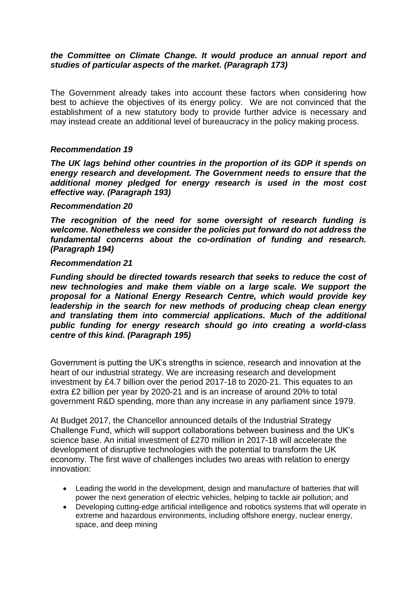# *the Committee on Climate Change. It would produce an annual report and studies of particular aspects of the market. (Paragraph 173)*

The Government already takes into account these factors when considering how best to achieve the objectives of its energy policy. We are not convinced that the establishment of a new statutory body to provide further advice is necessary and may instead create an additional level of bureaucracy in the policy making process.

#### *Recommendation 19*

*The UK lags behind other countries in the proportion of its GDP it spends on energy research and development. The Government needs to ensure that the additional money pledged for energy research is used in the most cost effective way. (Paragraph 193)*

#### *Recommendation 20*

*The recognition of the need for some oversight of research funding is welcome. Nonetheless we consider the policies put forward do not address the fundamental concerns about the co-ordination of funding and research. (Paragraph 194)*

#### *Recommendation 21*

*Funding should be directed towards research that seeks to reduce the cost of new technologies and make them viable on a large scale. We support the proposal for a National Energy Research Centre, which would provide key leadership in the search for new methods of producing cheap clean energy and translating them into commercial applications. Much of the additional public funding for energy research should go into creating a world-class centre of this kind. (Paragraph 195)*

Government is putting the UK's strengths in science, research and innovation at the heart of our industrial strategy. We are increasing research and development investment by £4.7 billion over the period 2017-18 to 2020-21. This equates to an extra £2 billion per year by 2020-21 and is an increase of around 20% to total government R&D spending, more than any increase in any parliament since 1979.

At Budget 2017, the Chancellor announced details of the Industrial Strategy Challenge Fund, which will support collaborations between business and the UK's science base. An initial investment of £270 million in 2017-18 will accelerate the development of disruptive technologies with the potential to transform the UK economy. The first wave of challenges includes two areas with relation to energy innovation:

- Leading the world in the development, design and manufacture of batteries that will power the next generation of electric vehicles, helping to tackle air pollution; and
- Developing cutting-edge artificial intelligence and robotics systems that will operate in extreme and hazardous environments, including offshore energy, nuclear energy, space, and deep mining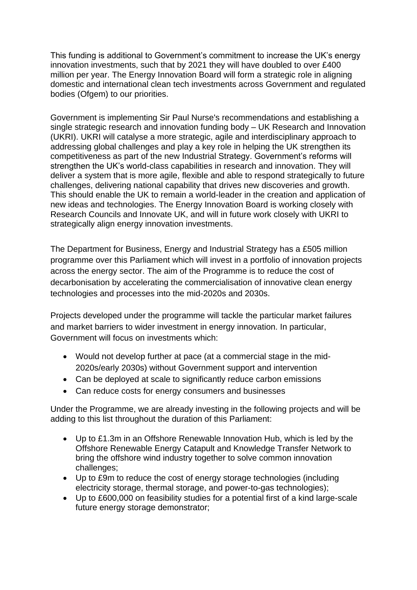This funding is additional to Government's commitment to increase the UK's energy innovation investments, such that by 2021 they will have doubled to over £400 million per year. The Energy Innovation Board will form a strategic role in aligning domestic and international clean tech investments across Government and regulated bodies (Ofgem) to our priorities.

Government is implementing Sir Paul Nurse's recommendations and establishing a single strategic research and innovation funding body – UK Research and Innovation (UKRI). UKRI will catalyse a more strategic, agile and interdisciplinary approach to addressing global challenges and play a key role in helping the UK strengthen its competitiveness as part of the new Industrial Strategy. Government's reforms will strengthen the UK's world-class capabilities in research and innovation. They will deliver a system that is more agile, flexible and able to respond strategically to future challenges, delivering national capability that drives new discoveries and growth. This should enable the UK to remain a world-leader in the creation and application of new ideas and technologies. The Energy Innovation Board is working closely with Research Councils and Innovate UK, and will in future work closely with UKRI to strategically align energy innovation investments.

The Department for Business, Energy and Industrial Strategy has a £505 million programme over this Parliament which will invest in a portfolio of innovation projects across the energy sector. The aim of the Programme is to reduce the cost of decarbonisation by accelerating the commercialisation of innovative clean energy technologies and processes into the mid-2020s and 2030s.

Projects developed under the programme will tackle the particular market failures and market barriers to wider investment in energy innovation. In particular, Government will focus on investments which:

- Would not develop further at pace (at a commercial stage in the mid-2020s/early 2030s) without Government support and intervention
- Can be deployed at scale to significantly reduce carbon emissions
- Can reduce costs for energy consumers and businesses

Under the Programme, we are already investing in the following projects and will be adding to this list throughout the duration of this Parliament:

- Up to £1.3m in an Offshore Renewable Innovation Hub, which is led by the Offshore Renewable Energy Catapult and Knowledge Transfer Network to bring the offshore wind industry together to solve common innovation challenges;
- Up to £9m to reduce the cost of energy storage technologies (including electricity storage, thermal storage, and power-to-gas technologies);
- Up to £600,000 on feasibility studies for a potential first of a kind large-scale future energy storage demonstrator;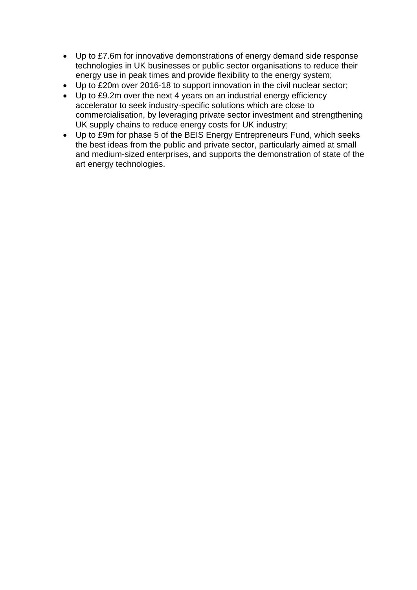- Up to £7.6m for innovative demonstrations of energy demand side response technologies in UK businesses or public sector organisations to reduce their energy use in peak times and provide flexibility to the energy system;
- Up to £20m over 2016-18 to support innovation in the civil nuclear sector;
- Up to £9.2m over the next 4 years on an industrial energy efficiency accelerator to seek industry-specific solutions which are close to commercialisation, by leveraging private sector investment and strengthening UK supply chains to reduce energy costs for UK industry;
- Up to £9m for phase 5 of the BEIS Energy Entrepreneurs Fund, which seeks the best ideas from the public and private sector, particularly aimed at small and medium-sized enterprises, and supports the demonstration of state of the art energy technologies.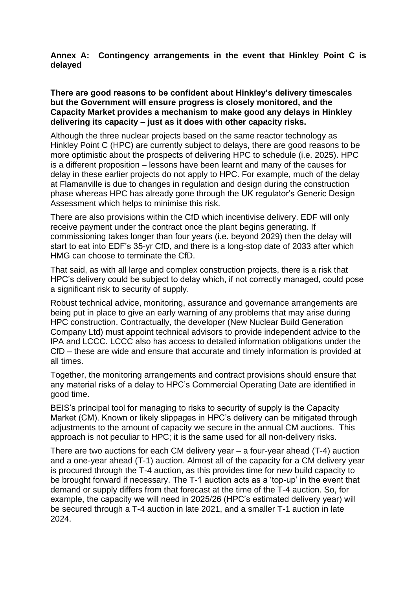#### **Annex A: Contingency arrangements in the event that Hinkley Point C is delayed**

#### **There are good reasons to be confident about Hinkley's delivery timescales but the Government will ensure progress is closely monitored, and the Capacity Market provides a mechanism to make good any delays in Hinkley delivering its capacity – just as it does with other capacity risks.**

Although the three nuclear projects based on the same reactor technology as Hinkley Point C (HPC) are currently subject to delays, there are good reasons to be more optimistic about the prospects of delivering HPC to schedule (i.e. 2025). HPC is a different proposition – lessons have been learnt and many of the causes for delay in these earlier projects do not apply to HPC. For example, much of the delay at Flamanville is due to changes in regulation and design during the construction phase whereas HPC has already gone through the UK regulator's Generic Design Assessment which helps to minimise this risk.

There are also provisions within the CfD which incentivise delivery. EDF will only receive payment under the contract once the plant begins generating. If commissioning takes longer than four years (i.e. beyond 2029) then the delay will start to eat into EDF's 35-yr CfD, and there is a long-stop date of 2033 after which HMG can choose to terminate the CfD.

That said, as with all large and complex construction projects, there is a risk that HPC's delivery could be subject to delay which, if not correctly managed, could pose a significant risk to security of supply.

Robust technical advice, monitoring, assurance and governance arrangements are being put in place to give an early warning of any problems that may arise during HPC construction. Contractually, the developer (New Nuclear Build Generation Company Ltd) must appoint technical advisors to provide independent advice to the IPA and LCCC. LCCC also has access to detailed information obligations under the CfD – these are wide and ensure that accurate and timely information is provided at all times.

Together, the monitoring arrangements and contract provisions should ensure that any material risks of a delay to HPC's Commercial Operating Date are identified in good time.

BEIS's principal tool for managing to risks to security of supply is the Capacity Market (CM). Known or likely slippages in HPC's delivery can be mitigated through adjustments to the amount of capacity we secure in the annual CM auctions. This approach is not peculiar to HPC; it is the same used for all non-delivery risks.

There are two auctions for each CM delivery year – a four-year ahead (T-4) auction and a one-year ahead (T-1) auction. Almost all of the capacity for a CM delivery year is procured through the T-4 auction, as this provides time for new build capacity to be brought forward if necessary. The T-1 auction acts as a 'top-up' in the event that demand or supply differs from that forecast at the time of the T-4 auction. So, for example, the capacity we will need in 2025/26 (HPC's estimated delivery year) will be secured through a T-4 auction in late 2021, and a smaller T-1 auction in late 2024.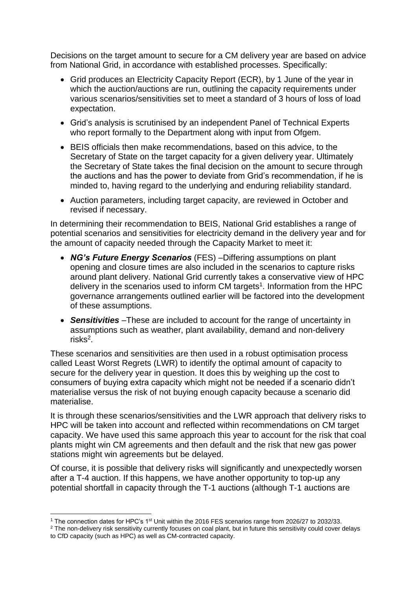Decisions on the target amount to secure for a CM delivery year are based on advice from National Grid, in accordance with established processes. Specifically:

- Grid produces an Electricity Capacity Report (ECR), by 1 June of the year in which the auction/auctions are run, outlining the capacity requirements under various scenarios/sensitivities set to meet a standard of 3 hours of loss of load expectation.
- Grid's analysis is scrutinised by an independent Panel of Technical Experts who report formally to the Department along with input from Ofgem.
- BEIS officials then make recommendations, based on this advice, to the Secretary of State on the target capacity for a given delivery year. Ultimately the Secretary of State takes the final decision on the amount to secure through the auctions and has the power to deviate from Grid's recommendation, if he is minded to, having regard to the underlying and enduring reliability standard.
- Auction parameters, including target capacity, are reviewed in October and revised if necessary.

In determining their recommendation to BEIS, National Grid establishes a range of potential scenarios and sensitivities for electricity demand in the delivery year and for the amount of capacity needed through the Capacity Market to meet it:

- *NG's Future Energy Scenarios* (FES) –Differing assumptions on plant opening and closure times are also included in the scenarios to capture risks around plant delivery. National Grid currently takes a conservative view of HPC delivery in the scenarios used to inform CM targets<sup>1</sup>. Information from the HPC governance arrangements outlined earlier will be factored into the development of these assumptions.
- *Sensitivities* –These are included to account for the range of uncertainty in assumptions such as weather, plant availability, demand and non-delivery risks<sup>2</sup>.

These scenarios and sensitivities are then used in a robust optimisation process called Least Worst Regrets (LWR) to identify the optimal amount of capacity to secure for the delivery year in question. It does this by weighing up the cost to consumers of buying extra capacity which might not be needed if a scenario didn't materialise versus the risk of not buying enough capacity because a scenario did materialise.

It is through these scenarios/sensitivities and the LWR approach that delivery risks to HPC will be taken into account and reflected within recommendations on CM target capacity. We have used this same approach this year to account for the risk that coal plants might win CM agreements and then default and the risk that new gas power stations might win agreements but be delayed.

Of course, it is possible that delivery risks will significantly and unexpectedly worsen after a T-4 auction. If this happens, we have another opportunity to top-up any potential shortfall in capacity through the T-1 auctions (although T-1 auctions are

<u>.</u>

<sup>&</sup>lt;sup>1</sup> The connection dates for HPC's 1<sup>st</sup> Unit within the 2016 FES scenarios range from 2026/27 to 2032/33.

<sup>&</sup>lt;sup>2</sup> The non-delivery risk sensitivity currently focuses on coal plant, but in future this sensitivity could cover delays to CfD capacity (such as HPC) as well as CM-contracted capacity.